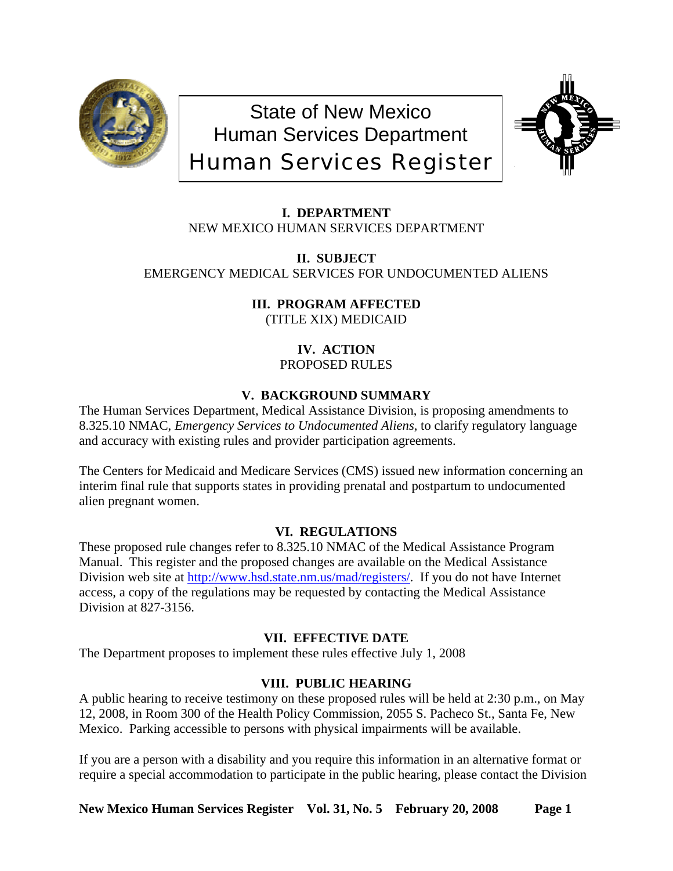

State of New Mexico Human Services Department Human Services Register



**I. DEPARTMENT**

NEW MEXICO HUMAN SERVICES DEPARTMENT

**II. SUBJECT** EMERGENCY MEDICAL SERVICES FOR UNDOCUMENTED ALIENS

> **III. PROGRAM AFFECTED** (TITLE XIX) MEDICAID

> > **IV. ACTION** PROPOSED RULES

# **V. BACKGROUND SUMMARY**

The Human Services Department, Medical Assistance Division, is proposing amendments to 8.325.10 NMAC, *Emergency Services to Undocumented Aliens*, to clarify regulatory language and accuracy with existing rules and provider participation agreements.

The Centers for Medicaid and Medicare Services (CMS) issued new information concerning an interim final rule that supports states in providing prenatal and postpartum to undocumented alien pregnant women.

# **VI. REGULATIONS**

These proposed rule changes refer to 8.325.10 NMAC of the Medical Assistance Program Manual. This register and the proposed changes are available on the Medical Assistance Division web site at <http://www.hsd.state.nm.us/mad/registers/>. If you do not have Internet access, a copy of the regulations may be requested by contacting the Medical Assistance Division at 827-3156.

# **VII. EFFECTIVE DATE**

The Department proposes to implement these rules effective July 1, 2008

# **VIII. PUBLIC HEARING**

A public hearing to receive testimony on these proposed rules will be held at 2:30 p.m., on May 12, 2008, in Room 300 of the Health Policy Commission, 2055 S. Pacheco St., Santa Fe, New Mexico. Parking accessible to persons with physical impairments will be available.

If you are a person with a disability and you require this information in an alternative format or require a special accommodation to participate in the public hearing, please contact the Division

**New Mexico Human Services Register Vol. 31, No. 5 February 20, 2008 Page 1**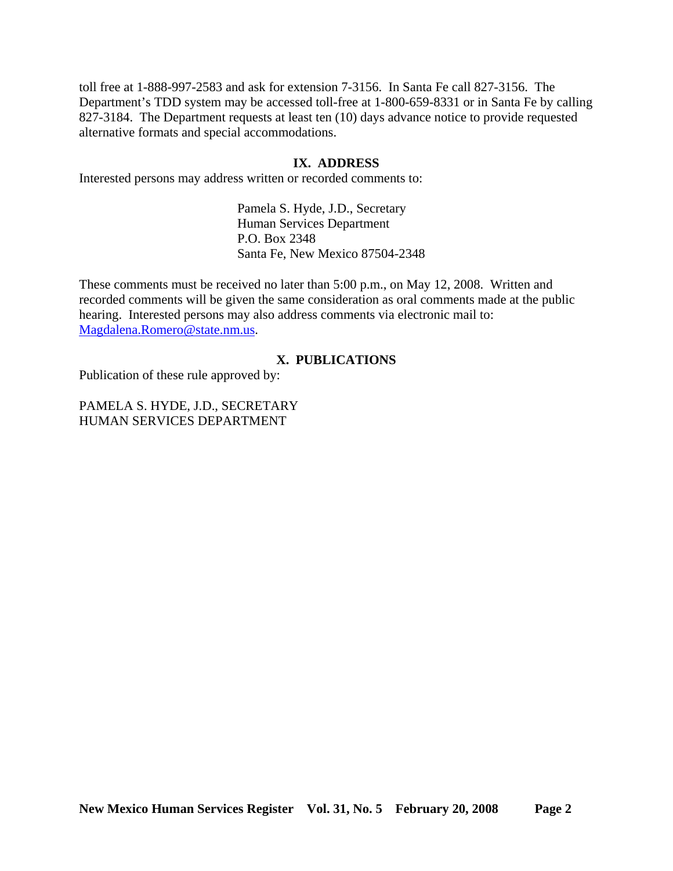toll free at 1-888-997-2583 and ask for extension 7-3156. In Santa Fe call 827-3156. The Department's TDD system may be accessed toll-free at 1-800-659-8331 or in Santa Fe by calling 827-3184. The Department requests at least ten (10) days advance notice to provide requested alternative formats and special accommodations.

# **IX. ADDRESS**

Interested persons may address written or recorded comments to:

Pamela S. Hyde, J.D., Secretary Human Services Department P.O. Box 2348 Santa Fe, New Mexico 87504-2348

These comments must be received no later than 5:00 p.m., on May 12, 2008. Written and recorded comments will be given the same consideration as oral comments made at the public hearing. Interested persons may also address comments via electronic mail to: [Magdalena.Romero@state.nm.us.](mailto:Magdalena.Romero@state.nm.us)

## **X. PUBLICATIONS**

Publication of these rule approved by:

PAMELA S. HYDE, J.D., SECRETARY HUMAN SERVICES DEPARTMENT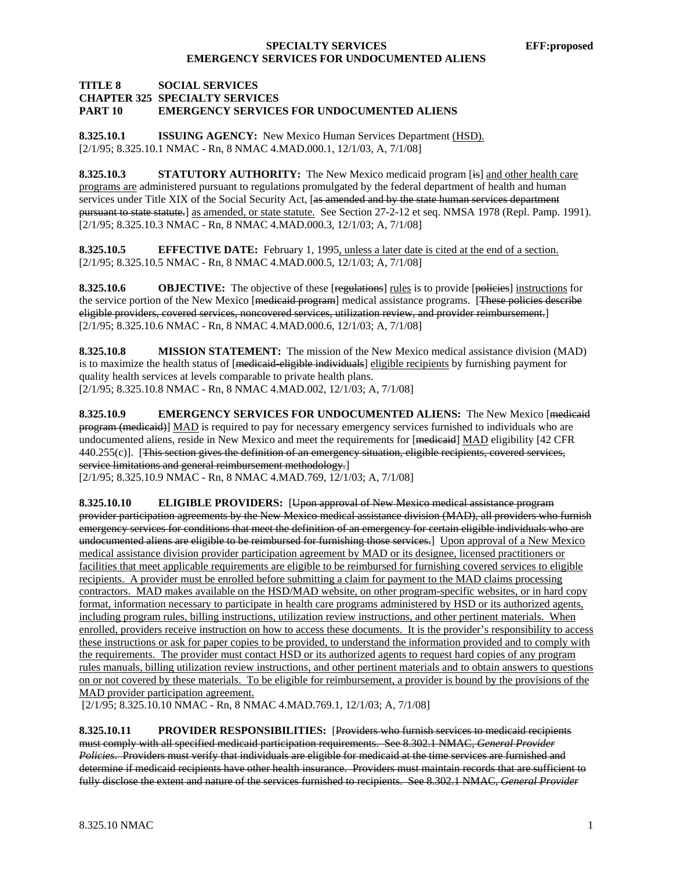## **SPECIALTY SERVICES** EFF:proposed **EMERGENCY SERVICES FOR UNDOCUMENTED ALIENS**

#### **TITLE 8 SOCIAL SERVICES CHAPTER 325 SPECIALTY SERVICES PART 10 EMERGENCY SERVICES FOR UNDOCUMENTED ALIENS**

**8.325.10.1 ISSUING AGENCY:** New Mexico Human Services Department (HSD). [2/1/95; 8.325.10.1 NMAC - Rn, 8 NMAC 4.MAD.000.1, 12/1/03, A, 7/1/08]

**8.325.10.3** STATUTORY AUTHORITY: The New Mexico medicaid program [is] and other health care programs are administered pursuant to regulations promulgated by the federal department of health and human services under Title XIX of the Social Security Act, [as amended and by the state human services department pursuant to state statute.] as amended, or state statute. See Section 27-2-12 et seq. NMSA 1978 (Repl. Pamp. 1991). [2/1/95; 8.325.10.3 NMAC - Rn, 8 NMAC 4.MAD.000.3, 12/1/03; A, 7/1/08]

**8.325.10.5 EFFECTIVE DATE:** February 1, 1995, unless a later date is cited at the end of a section. [2/1/95; 8.325.10.5 NMAC - Rn, 8 NMAC 4.MAD.000.5, 12/1/03; A, 7/1/08]

**8.325.10.6 OBJECTIVE:** The objective of these [regulations] rules is to provide [policies] instructions for the service portion of the New Mexico [medicaid program] medical assistance programs. [These policies describe eligible providers, covered services, noncovered services, utilization review, and provider reimbursement.] [2/1/95; 8.325.10.6 NMAC - Rn, 8 NMAC 4.MAD.000.6, 12/1/03; A, 7/1/08]

**8.325.10.8 MISSION STATEMENT:** The mission of the New Mexico medical assistance division (MAD) is to maximize the health status of [medicaid-eligible individuals] eligible recipients by furnishing payment for quality health services at levels comparable to private health plans. [2/1/95; 8.325.10.8 NMAC - Rn, 8 NMAC 4.MAD.002, 12/1/03; A, 7/1/08]

**8.325.10.9 EMERGENCY SERVICES FOR UNDOCUMENTED ALIENS:** The New Mexico [medicaid program (medicaid)] MAD is required to pay for necessary emergency services furnished to individuals who are undocumented aliens, reside in New Mexico and meet the requirements for [medicaid] MAD eligibility [42 CFR 440.255(c)]. [This section gives the definition of an emergency situation, eligible recipients, covered services, service limitations and general reimbursement methodology.]

[2/1/95; 8.325.10.9 NMAC - Rn, 8 NMAC 4.MAD.769, 12/1/03; A, 7/1/08]

**8.325.10.10 ELIGIBLE PROVIDERS:** [Upon approval of New Mexico medical assistance program provider participation agreements by the New Mexico medical assistance division (MAD), all providers who furnish emergency services for conditions that meet the definition of an emergency for certain eligible individuals who are undocumented aliens are eligible to be reimbursed for furnishing those services.] Upon approval of a New Mexico medical assistance division provider participation agreement by MAD or its designee, licensed practitioners or facilities that meet applicable requirements are eligible to be reimbursed for furnishing covered services to eligible recipients. A provider must be enrolled before submitting a claim for payment to the MAD claims processing contractors. MAD makes available on the HSD/MAD website, on other program-specific websites, or in hard copy format, information necessary to participate in health care programs administered by HSD or its authorized agents, including program rules, billing instructions, utilization review instructions, and other pertinent materials. When enrolled, providers receive instruction on how to access these documents. It is the provider's responsibility to access these instructions or ask for paper copies to be provided, to understand the information provided and to comply with the requirements. The provider must contact HSD or its authorized agents to request hard copies of any program rules manuals, billing utilization review instructions, and other pertinent materials and to obtain answers to questions on or not covered by these materials. To be eligible for reimbursement, a provider is bound by the provisions of the MAD provider participation agreement.

[2/1/95; 8.325.10.10 NMAC - Rn, 8 NMAC 4.MAD.769.1, 12/1/03; A, 7/1/08]

**8.325.10.11 PROVIDER RESPONSIBILITIES:** [Providers who furnish services to medicaid recipients must comply with all specified medicaid participation requirements. See 8.302.1 NMAC, *General Provider Policies*. Providers must verify that individuals are eligible for medicaid at the time services are furnished and determine if medicaid recipients have other health insurance. Providers must maintain records that are sufficient to fully disclose the extent and nature of the services furnished to recipients. See 8.302.1 NMAC, *General Provider*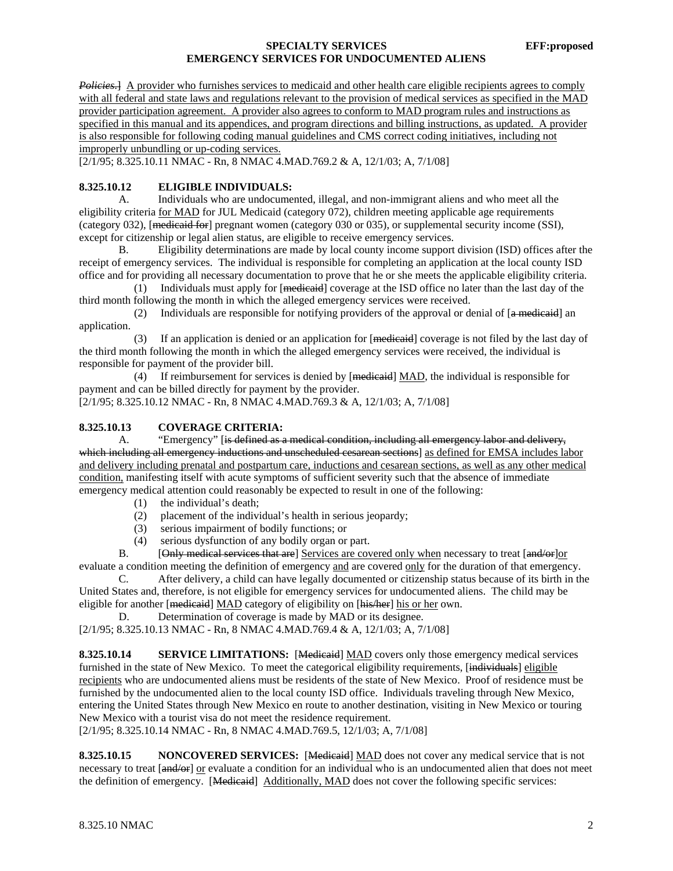## **SPECIALTY SERVICES** EFF:proposed **EMERGENCY SERVICES FOR UNDOCUMENTED ALIENS**

*Policies*.] A provider who furnishes services to medicaid and other health care eligible recipients agrees to comply with all federal and state laws and regulations relevant to the provision of medical services as specified in the MAD provider participation agreement. A provider also agrees to conform to MAD program rules and instructions as specified in this manual and its appendices, and program directions and billing instructions, as updated. A provider is also responsible for following coding manual guidelines and CMS correct coding initiatives, including not improperly unbundling or up-coding services.

[2/1/95; 8.325.10.11 NMAC - Rn, 8 NMAC 4.MAD.769.2 & A, 12/1/03; A, 7/1/08]

### **8.325.10.12 ELIGIBLE INDIVIDUALS:**

 A. Individuals who are undocumented, illegal, and non-immigrant aliens and who meet all the eligibility criteria for MAD for JUL Medicaid (category 072), children meeting applicable age requirements (category 032), [medicaid for] pregnant women (category 030 or 035), or supplemental security income (SSI), except for citizenship or legal alien status, are eligible to receive emergency services.

 B. Eligibility determinations are made by local county income support division (ISD) offices after the receipt of emergency services. The individual is responsible for completing an application at the local county ISD office and for providing all necessary documentation to prove that he or she meets the applicable eligibility criteria.

(1) Individuals must apply for  $[$ <del>medicaid</del> $]$  coverage at the ISD office no later than the last day of the third month following the month in which the alleged emergency services were received.

(2) Individuals are responsible for notifying providers of the approval or denial of  $[a$  medicaid an application.

 (3) If an application is denied or an application for [medicaid] coverage is not filed by the last day of the third month following the month in which the alleged emergency services were received, the individual is responsible for payment of the provider bill.

 (4) If reimbursement for services is denied by [medicaid] MAD, the individual is responsible for payment and can be billed directly for payment by the provider.

[2/1/95; 8.325.10.12 NMAC - Rn, 8 NMAC 4.MAD.769.3 & A, 12/1/03; A, 7/1/08]

### **8.325.10.13 COVERAGE CRITERIA:**

A. "Emergency" [is defined as a medical condition, including all emergency labor and delivery, which including all emergency inductions and unscheduled cesarean sections] as defined for EMSA includes labor and delivery including prenatal and postpartum care, inductions and cesarean sections, as well as any other medical condition, manifesting itself with acute symptoms of sufficient severity such that the absence of immediate emergency medical attention could reasonably be expected to result in one of the following:

- (1) the individual's death;
- (2) placement of the individual's health in serious jeopardy;
- (3) serious impairment of bodily functions; or
- (4) serious dysfunction of any bodily organ or part.

B. [Only medical services that are] Services are covered only when necessary to treat [and/or]or evaluate a condition meeting the definition of emergency and are covered only for the duration of that emergency.

 C. After delivery, a child can have legally documented or citizenship status because of its birth in the United States and, therefore, is not eligible for emergency services for undocumented aliens. The child may be eligible for another [medicaid] MAD category of eligibility on [his/her] his or her own.

D. Determination of coverage is made by MAD or its designee.

[2/1/95; 8.325.10.13 NMAC - Rn, 8 NMAC 4.MAD.769.4 & A, 12/1/03; A, 7/1/08]

**8.325.10.14** SERVICE LIMITATIONS: [Medicaid] MAD covers only those emergency medical services furnished in the state of New Mexico. To meet the categorical eligibility requirements, [individuals] eligible recipients who are undocumented aliens must be residents of the state of New Mexico. Proof of residence must be furnished by the undocumented alien to the local county ISD office. Individuals traveling through New Mexico, entering the United States through New Mexico en route to another destination, visiting in New Mexico or touring New Mexico with a tourist visa do not meet the residence requirement.

[2/1/95; 8.325.10.14 NMAC - Rn, 8 NMAC 4.MAD.769.5, 12/1/03; A, 7/1/08]

**8.325.10.15 NONCOVERED SERVICES:** [Mediented] MAD does not cover any medical service that is not necessary to treat [and/or] or evaluate a condition for an individual who is an undocumented alien that does not meet the definition of emergency. [Medicaid] Additionally, MAD does not cover the following specific services: